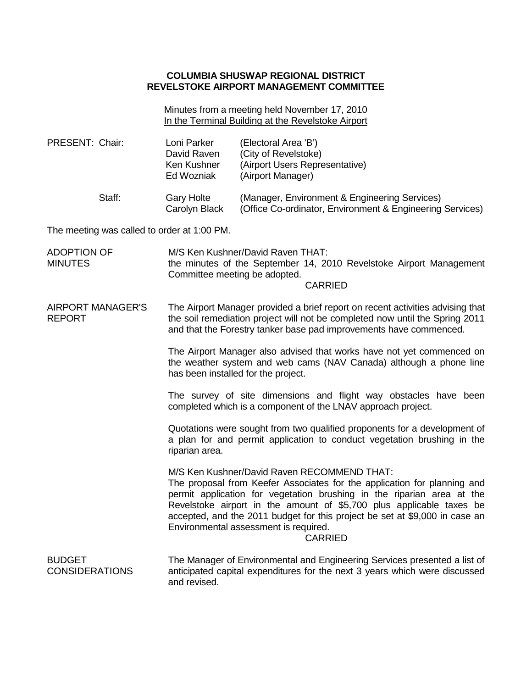# **COLUMBIA SHUSWAP REGIONAL DISTRICT REVELSTOKE AIRPORT MANAGEMENT COMMITTEE**

Minutes from a meeting held November 17, 2010 In the Terminal Building at the Revelstoke Airport

| PRESENT: Chair:                             |        | Loni Parker<br>David Raven<br>Ken Kushner<br>Ed Wozniak                                                                                                                                                                              | (Electoral Area 'B')<br>(City of Revelstoke)<br>(Airport Users Representative)<br>(Airport Manager)                                                                                                                                                                                                                                                                                                                 |  |  |
|---------------------------------------------|--------|--------------------------------------------------------------------------------------------------------------------------------------------------------------------------------------------------------------------------------------|---------------------------------------------------------------------------------------------------------------------------------------------------------------------------------------------------------------------------------------------------------------------------------------------------------------------------------------------------------------------------------------------------------------------|--|--|
|                                             | Staff: | <b>Gary Holte</b><br>Carolyn Black                                                                                                                                                                                                   | (Manager, Environment & Engineering Services)<br>(Office Co-ordinator, Environment & Engineering Services)                                                                                                                                                                                                                                                                                                          |  |  |
| The meeting was called to order at 1:00 PM. |        |                                                                                                                                                                                                                                      |                                                                                                                                                                                                                                                                                                                                                                                                                     |  |  |
| <b>ADOPTION OF</b><br><b>MINUTES</b>        |        | M/S Ken Kushner/David Raven THAT:<br>the minutes of the September 14, 2010 Revelstoke Airport Management<br>Committee meeting be adopted.<br><b>CARRIED</b>                                                                          |                                                                                                                                                                                                                                                                                                                                                                                                                     |  |  |
| <b>AIRPORT MANAGER'S</b><br><b>REPORT</b>   |        | The Airport Manager provided a brief report on recent activities advising that<br>the soil remediation project will not be completed now until the Spring 2011<br>and that the Forestry tanker base pad improvements have commenced. |                                                                                                                                                                                                                                                                                                                                                                                                                     |  |  |
|                                             |        | The Airport Manager also advised that works have not yet commenced on<br>the weather system and web cams (NAV Canada) although a phone line<br>has been installed for the project.                                                   |                                                                                                                                                                                                                                                                                                                                                                                                                     |  |  |
|                                             |        | The survey of site dimensions and flight way obstacles have been<br>completed which is a component of the LNAV approach project.                                                                                                     |                                                                                                                                                                                                                                                                                                                                                                                                                     |  |  |
|                                             |        | Quotations were sought from two qualified proponents for a development of<br>a plan for and permit application to conduct vegetation brushing in the<br>riparian area.                                                               |                                                                                                                                                                                                                                                                                                                                                                                                                     |  |  |
|                                             |        |                                                                                                                                                                                                                                      | M/S Ken Kushner/David Raven RECOMMEND THAT:<br>The proposal from Keefer Associates for the application for planning and<br>permit application for vegetation brushing in the riparian area at the<br>Revelstoke airport in the amount of \$5,700 plus applicable taxes be<br>accepted, and the 2011 budget for this project be set at \$9,000 in case an<br>Environmental assessment is required.<br><b>CARRIED</b> |  |  |
| <b>BUDGET</b><br><b>CONSIDERATIONS</b>      |        | and revised.                                                                                                                                                                                                                         | The Manager of Environmental and Engineering Services presented a list of<br>anticipated capital expenditures for the next 3 years which were discussed                                                                                                                                                                                                                                                             |  |  |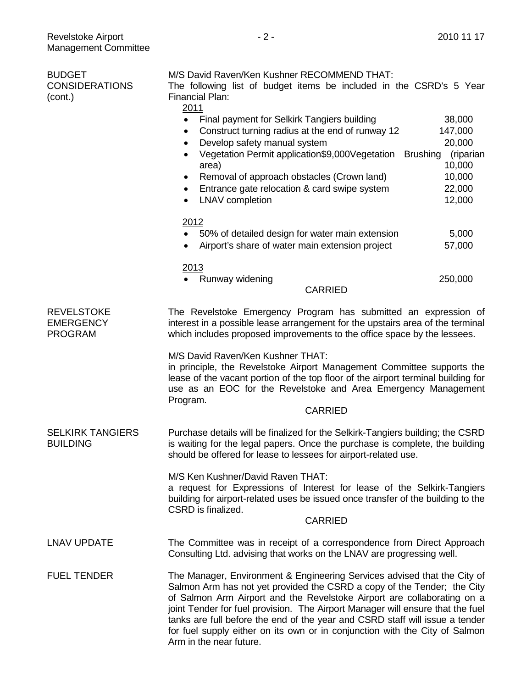CONSIDERATIONS

BUDGET

(cont.)

| M/S David Raven/Ken Kushner RECOMMEND THAT:<br>The following list of budget items be included in the CSRD's 5 Year |           |
|--------------------------------------------------------------------------------------------------------------------|-----------|
| Financial Plan:                                                                                                    |           |
| 2011                                                                                                               |           |
| Final payment for Selkirk Tangiers building<br>$\bullet$                                                           | 38,000    |
| Construct turning radius at the end of runway 12<br>$\bullet$                                                      | 147,000   |
| Develop safety manual system<br>$\bullet$                                                                          | 20,000    |
| Vegetation Permit application\$9,000Vegetation Brushing<br>$\bullet$                                               | (riparian |
| area)                                                                                                              |           |

- Removal of approach obstacles (Crown land) 10,000 • Entrance gate relocation & card swipe system 22,000
	- LNAV completion 12,000

# 2012

- 50% of detailed design for water main extension 5,000
- Airport's share of water main extension project 57,000

### 2013

• Runway widening 250,000

### CARRIED

**REVELSTOKE** EMERGENCY PROGRAM The Revelstoke Emergency Program has submitted an expression of interest in a possible lease arrangement for the upstairs area of the terminal which includes proposed improvements to the office space by the lessees.

M/S David Raven/Ken Kushner THAT:

in principle, the Revelstoke Airport Management Committee supports the lease of the vacant portion of the top floor of the airport terminal building for use as an EOC for the Revelstoke and Area Emergency Management Program.

#### CARRIED

SELKIRK TANGIERS **BUILDING** Purchase details will be finalized for the Selkirk-Tangiers building; the CSRD is waiting for the legal papers. Once the purchase is complete, the building should be offered for lease to lessees for airport-related use.

> M/S Ken Kushner/David Raven THAT: a request for Expressions of Interest for lease of the Selkirk-Tangiers building for airport-related uses be issued once transfer of the building to the CSRD is finalized.

#### CARRIED

- LNAV UPDATE The Committee was in receipt of a correspondence from Direct Approach Consulting Ltd. advising that works on the LNAV are progressing well.
- FUEL TENDER The Manager, Environment & Engineering Services advised that the City of Salmon Arm has not yet provided the CSRD a copy of the Tender; the City of Salmon Arm Airport and the Revelstoke Airport are collaborating on a joint Tender for fuel provision. The Airport Manager will ensure that the fuel tanks are full before the end of the year and CSRD staff will issue a tender for fuel supply either on its own or in conjunction with the City of Salmon Arm in the near future.